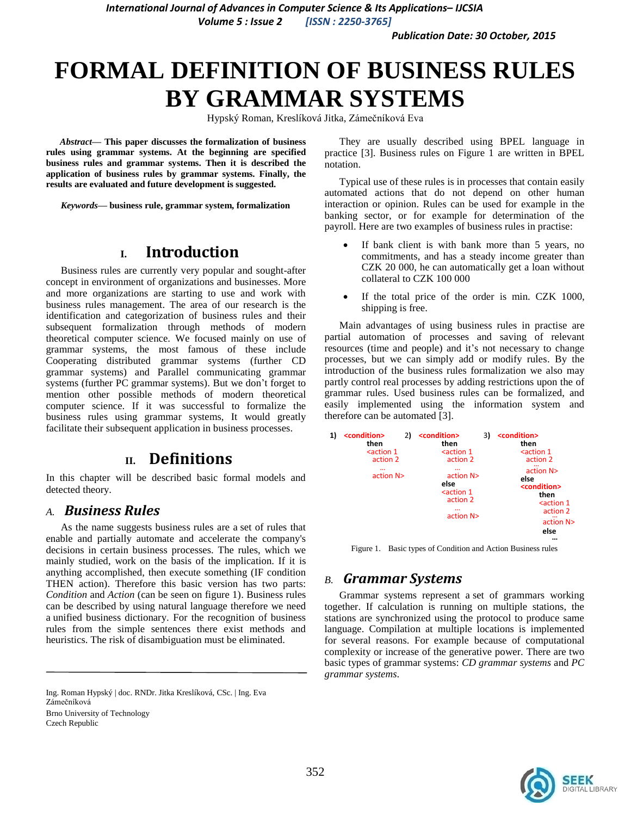*International Journal of Advances in Computer Science & Its Applications– IJCSIA Volume 5 : Issue 2 [ISSN : 2250-3765]*

*Publication Date: 30 October, 2015*

# **FORMAL DEFINITION OF BUSINESS RULES BY GRAMMAR SYSTEMS**

Hypský Roman, Kreslíková Jitka, Zámečníková Eva

*Abstract***— This paper discusses the formalization of business rules using grammar systems. At the beginning are specified business rules and grammar systems. Then it is described the application of business rules by grammar systems. Finally, the results are evaluated and future development is suggested.**

*Keywords—* **business rule, grammar system, formalization**

# **I. Introduction**

Business rules are currently very popular and sought-after concept in environment of organizations and businesses. More and more organizations are starting to use and work with business rules management. The area of our research is the identification and categorization of business rules and their subsequent formalization through methods of modern theoretical computer science. We focused mainly on use of grammar systems, the most famous of these include Cooperating distributed grammar systems (further CD grammar systems) and Parallel communicating grammar systems (further PC grammar systems). But we don't forget to mention other possible methods of modern theoretical computer science. If it was successful to formalize the business rules using grammar systems, It would greatly facilitate their subsequent application in business processes.

# **II. Definitions**

In this chapter will be described basic formal models and detected theory.

### *A. Business Rules*

As the name suggests business rules are a set of rules that enable and partially automate and accelerate the company's decisions in certain business processes. The rules, which we mainly studied, work on the basis of the implication. If it is anything accomplished, then execute something (IF condition THEN action). Therefore this basic version has two parts: *Condition* and *Action* (can be seen on figure 1). Business rules can be described by using natural language therefore we need a unified business dictionary. For the recognition of business rules from the simple sentences there exist methods and heuristics. The risk of disambiguation must be eliminated.

Ing. Roman Hypský | doc. RNDr. Jitka Kreslíková, CSc. | Ing. Eva Zámečníková Brno University of Technology Czech Republic

They are usually described using BPEL language in practice [3]. Business rules on Figure 1 are written in BPEL notation.

Typical use of these rules is in processes that contain easily automated actions that do not depend on other human interaction or opinion. Rules can be used for example in the banking sector, or for example for determination of the payroll. Here are two examples of business rules in practise:

- If bank client is with bank more than 5 years, no commitments, and has a steady income greater than CZK 20 000, he can automatically get a loan without collateral to CZK 100 000
- If the total price of the order is min. CZK 1000, shipping is free.

Main advantages of using business rules in practise are partial automation of processes and saving of relevant resources (time and people) and it's not necessary to change processes, but we can simply add or modify rules. By the introduction of the business rules formalization we also may partly control real processes by adding restrictions upon the of grammar rules. Used business rules can be formalized, and easily implemented using the information system and therefore can be automated [3].

| 1) | <condition><br/>then</condition>                                                                                            | 2)                                                                                                          | <condition><br/>then</condition>                                             | 3)                                                                                                                    | <condition><br/>then</condition> |  |  |
|----|-----------------------------------------------------------------------------------------------------------------------------|-------------------------------------------------------------------------------------------------------------|------------------------------------------------------------------------------|-----------------------------------------------------------------------------------------------------------------------|----------------------------------|--|--|
|    | <action 1<="" td=""><td></td><td><action 1<="" td=""><td></td><td><action 1<="" td=""></action></td></action></td></action> |                                                                                                             | <action 1<="" td=""><td></td><td><action 1<="" td=""></action></td></action> |                                                                                                                       | <action 1<="" td=""></action>    |  |  |
|    | action 2                                                                                                                    |                                                                                                             | action 2                                                                     |                                                                                                                       | action 2                         |  |  |
|    | $\cdots$<br>action N>                                                                                                       | $\cdots$<br>action N><br>else<br><action 1<br="">action 2<br/><math>\cdots</math><br/>action N&gt;</action> |                                                                              | action N><br>else<br><condition><br/>then<br/><action 1<br="">action 2<br/>action N&gt;<br/>else</action></condition> |                                  |  |  |

Figure 1. Basic types of Condition and Action Business rules

### *B. Grammar Systems*

Grammar systems represent a set of grammars working together. If calculation is running on multiple stations, the stations are synchronized using the protocol to produce same language. Compilation at multiple locations is implemented for several reasons. For example because of computational complexity or increase of the generative power. There are two basic types of grammar systems: *CD grammar systems* and *PC grammar systems*.

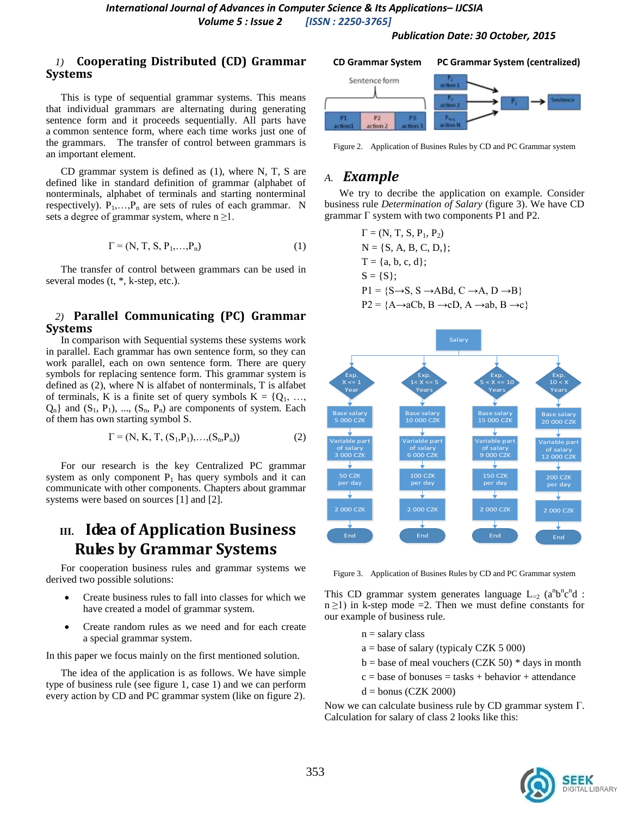*Publication Date: 30 October, 2015*

### *1)* **Cooperating Distributed (CD) Grammar Systems**

This is type of sequential grammar systems. This means that individual grammars are alternating during generating sentence form and it proceeds sequentially. All parts have a common sentence form, where each time works just one of the grammars. The transfer of control between grammars is an important element.

CD grammar system is defined as (1), where N, T, S are defined like in standard definition of grammar (alphabet of nonterminals, alphabet of terminals and starting nonterminal respectively).  $P_1, \ldots, P_n$  are sets of rules of each grammar. N sets a degree of grammar system, where  $n \geq 1$ .

$$
\Gamma = (N, T, S, P_1, \dots, P_n) \tag{1}
$$

The transfer of control between grammars can be used in several modes (t,  $*$ , k-step, etc.).

### *2)* **Parallel Communicating (PC) Grammar Systems**

In comparison with Sequential systems these systems work in parallel. Each grammar has own sentence form, so they can work parallel, each on own sentence form. There are query symbols for replacing sentence form. This grammar system is defined as (2), where N is alfabet of nonterminals, T is alfabet of terminals, K is a finite set of query symbols  $K = \{Q_1, ...,$  $Q_n$ } and  $(S_1, P_1)$ , ...,  $(S_n, P_n)$  are components of system. Each of them has own starting symbol S.

$$
\Gamma = (N, K, T, (S_1, P_1), \dots, (S_n, P_n))
$$
\n(2)

For our research is the key Centralized PC grammar system as only component  $P_1$  has query symbols and it can communicate with other components. Chapters about grammar systems were based on sources [1] and [2].

# **III. Idea of Application Business Rules by Grammar Systems**

For cooperation business rules and grammar systems we derived two possible solutions:

- Create business rules to fall into classes for which we have created a model of grammar system.
- Create random rules as we need and for each create a special grammar system.

In this paper we focus mainly on the first mentioned solution.

The idea of the application is as follows. We have simple type of business rule (see figure 1, case 1) and we can perform every action by CD and PC grammar system (like on figure 2).



Figure 2. Application of Busines Rules by CD and PC Grammar system

### *A. Example*

We try to decribe the application on example. Consider business rule *Determination of Salary* (figure 3). We have CD grammar  $\Gamma$  system with two components P1 and P2.

$$
\Gamma = (N, T, S, P_1, P_2)
$$
  
\n
$$
N = \{S, A, B, C, D, \};
$$
  
\n
$$
T = \{a, b, c, d\};
$$
  
\n
$$
S = \{S\};
$$
  
\n
$$
P1 = \{S \rightarrow S, S \rightarrow ABd, C \rightarrow A, D \rightarrow B\}
$$
  
\n
$$
P2 = \{A \rightarrow aCb, B \rightarrow cD, A \rightarrow ab, B \rightarrow c\}
$$



Figure 3. Application of Busines Rules by CD and PC Grammar system

This CD grammar system generates language  $L_{=2}$  (a<sup>n</sup>b<sup>n</sup>c<sup>n</sup>d :  $n \geq 1$ ) in k-step mode = 2. Then we must define constants for our example of business rule.

- $n =$  salary class
- $a = base of salary (typically CZK 5 000)$
- $b = base$  of meal vouchers (CZK 50)  $*$  days in month
- $c = base of bounces = tasks + behavior + attendance$
- $d =$ bonus (CZK 2000)

Now we can calculate business rule by CD grammar system Г. Calculation for salary of class 2 looks like this:

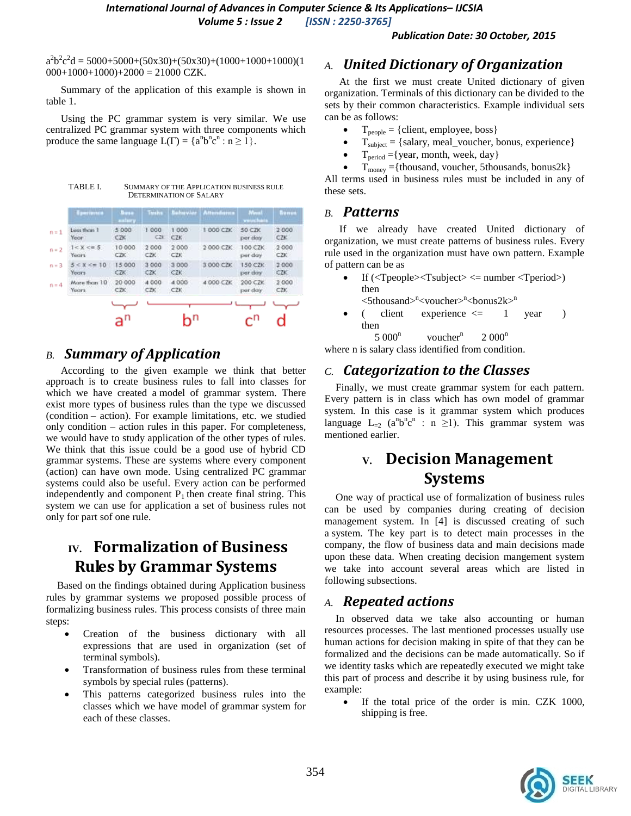$a^2b^2c^2d = 5000+5000+(50x30)+(50x30)+(1000+1000+1000)(1$  $000+1000+1000+2000 = 21000$  CZK.

Summary of the application of this example is shown in table 1.

Using the PC grammar system is very similar. We use centralized PC grammar system with three components which produce the same language  $L(\Gamma) = \{a^n b^n c^n : n \ge 1\}$ .

| TABLE I. | <b>SUMMARY OF THE APPLICATION BUSINESS RULE</b> |
|----------|-------------------------------------------------|
|          | DETERMINATION OF SALARY                         |

| perimma                | linia<br>aminey. | Tushs |            | Attendance | Mauil<br>wo technica. | <b>Bunus</b> |
|------------------------|------------------|-------|------------|------------|-----------------------|--------------|
| Less than 1            | 5.000            | 1.000 | 000        | 1000 CZK   | 50 CZK                | 2.000        |
| Year                   | C2K              | CZH   | CZK.       |            | per doy               | C2K          |
| 1 < X < u.5            | 10 000           | 2 000 | 2000       | 2000 CZK   | 100.CZK               | 2 000        |
| <b>Tucirs</b>          | CZK.             | CZK-  | CZK.       |            | per day               | CZK          |
| $5 \leq x \leq \pi$ 10 | 15.000           | 3 000 | 3 000      | 3 000 CZK  | $150$ CZK             | 2000         |
| Years                  | CZK:             | CZK   | <b>CZK</b> |            | per day               | CZK.         |
| More than 10           | 20 000           | 4 000 | 4000       | 4 000 CZK  | 200 CZK               | 2000         |
| Yours.                 | CZK:             | CZK   | CZK        |            | per day               | CZK.         |

# *B. Summary of Application*

According to the given example we think that better approach is to create business rules to fall into classes for which we have created a model of grammar system. There exist more types of business rules than the type we discussed (condition – action). For example limitations, etc. we studied only condition – action rules in this paper. For completeness, we would have to study application of the other types of rules. We think that this issue could be a good use of hybrid CD grammar systems. These are systems where every component (action) can have own mode. Using centralized PC grammar systems could also be useful. Every action can be performed independently and component  $P_1$  then create final string. This system we can use for application a set of business rules not only for part sof one rule.

# **IV. Formalization of Business Rules by Grammar Systems**

Based on the findings obtained during Application business rules by grammar systems we proposed possible process of formalizing business rules. This process consists of three main steps:

- Creation of the business dictionary with all expressions that are used in organization (set of terminal symbols).
- Transformation of business rules from these terminal symbols by special rules (patterns).
- This patterns categorized business rules into the classes which we have model of grammar system for each of these classes.

# *A. United Dictionary of Organization*

At the first we must create United dictionary of given organization. Terminals of this dictionary can be divided to the sets by their common characteristics. Example individual sets can be as follows:

- $T_{people} = \{client, employee, boss\}$
- $T_{\text{subject}} = \{\text{salary}, \text{real\_voucher}, \text{ bonus}, \text{ experience}\}$
- $T_{period} = \{year, month, week, day\}$
- $T_{\text{money}} = \{ \text{thousand}, \text{voucher}, \text{5thousand}, \text{bonus2k} \}$

All terms used in business rules must be included in any of these sets.

### *B. Patterns*

If we already have created United dictionary of organization, we must create patterns of business rules. Every rule used in the organization must have own pattern. Example of pattern can be as

- If  $(*Topo*ple>*STsubjectgenum*ber *Toperiodgenod*$ then  $\langle$ 5thousand $\rangle$ <sup>n</sup> $\langle$ voucher $\rangle$ <sup>n</sup> $\langle$ bonus2k $\rangle$ <sup>n</sup>
- ( client experience  $\leq$  1 year ) then

 $5000^n$  $v$ oucher $<sup>n</sup>$ </sup>  $2000^n$ 

# where n is salary class identified from condition.

## *C. Categorization to the Classes*

Finally, we must create grammar system for each pattern. Every pattern is in class which has own model of grammar system. In this case is it grammar system which produces language  $L_{=2}$  (a<sup>n</sup>b<sup>n</sup>c<sup>n</sup> : n ≥1). This grammar system was mentioned earlier.

# **V. Decision Management Systems**

One way of practical use of formalization of business rules can be used by companies during creating of decision management system. In [4] is discussed creating of such a system. The key part is to detect main processes in the company, the flow of business data and main decisions made upon these data. When creating decision mangement system we take into account several areas which are listed in following subsections.

### *A. Repeated actions*

In observed data we take also accounting or human resources processes. The last mentioned processes usually use human actions for decision making in spite of that they can be formalized and the decisions can be made automatically. So if we identity tasks which are repeatedly executed we might take this part of process and describe it by using business rule, for example:

 If the total price of the order is min. CZK 1000, shipping is free.